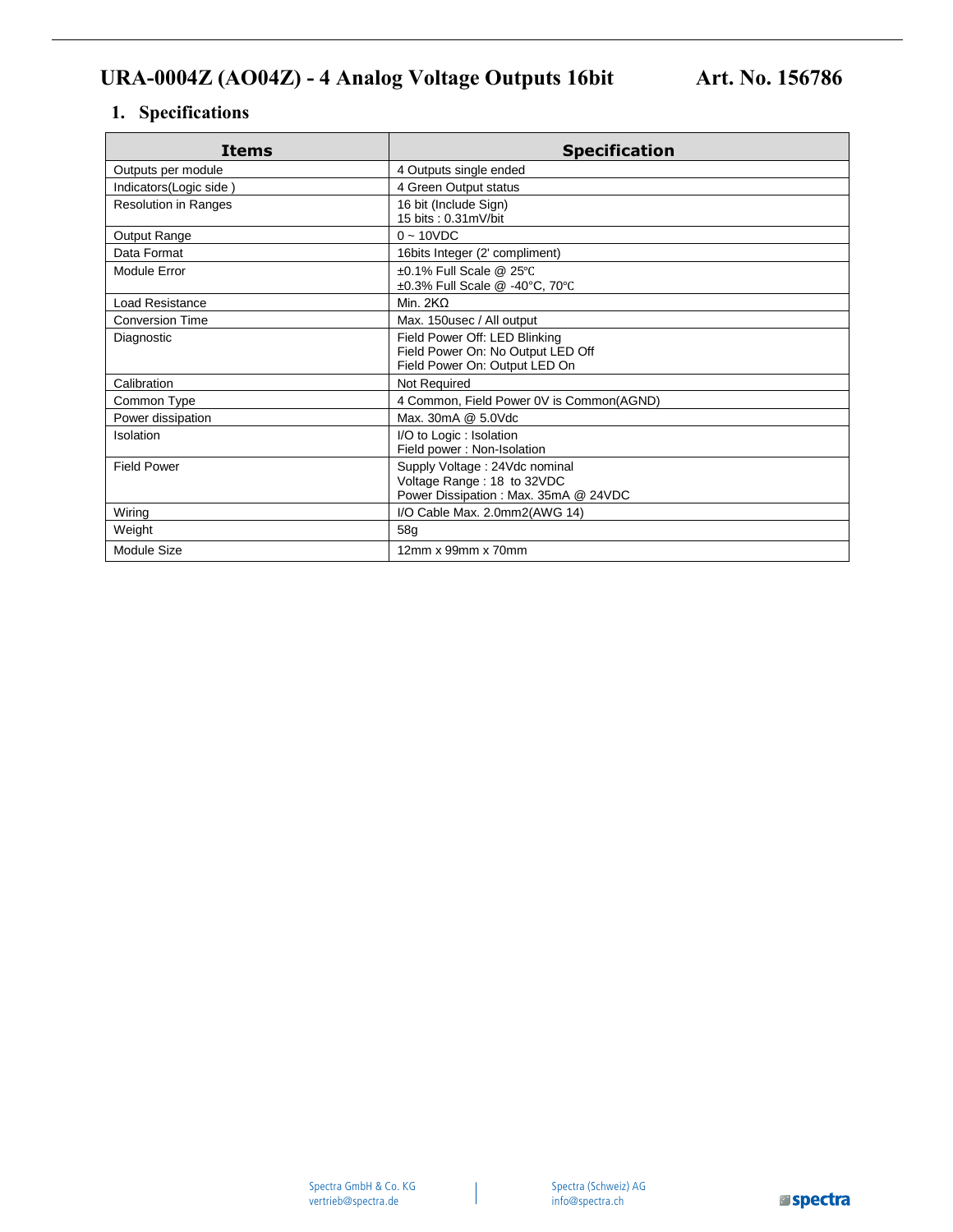## **1. Specifications**

| Items                       | <b>Specification</b>                                                                                |
|-----------------------------|-----------------------------------------------------------------------------------------------------|
| Outputs per module          | 4 Outputs single ended                                                                              |
| Indicators(Logic side)      | 4 Green Output status                                                                               |
| <b>Resolution in Ranges</b> | 16 bit (Include Sign)<br>15 bits: 0.31mV/bit                                                        |
| Output Range                | $0 - 10VDC$                                                                                         |
| Data Format                 | 16bits Integer (2' compliment)                                                                      |
| Module Error                | $\pm 0.1\%$ Full Scale @ 25°C<br>±0.3% Full Scale @ -40°C, 70°C                                     |
| <b>Load Resistance</b>      | Min. $2K\Omega$                                                                                     |
| <b>Conversion Time</b>      | Max. 150usec / All output                                                                           |
| Diagnostic                  | Field Power Off: LED Blinking<br>Field Power On: No Output LED Off<br>Field Power On: Output LED On |
| Calibration                 | Not Required                                                                                        |
| Common Type                 | 4 Common, Field Power 0V is Common(AGND)                                                            |
| Power dissipation           | Max. 30mA @ 5.0Vdc                                                                                  |
| Isolation                   | I/O to Logic: Isolation<br>Field power: Non-Isolation                                               |
| <b>Field Power</b>          | Supply Voltage: 24Vdc nominal<br>Voltage Range: 18 to 32VDC<br>Power Dissipation: Max. 35mA @ 24VDC |
| Wiring                      | I/O Cable Max. 2.0mm2(AWG 14)                                                                       |
| Weight                      | 58 <sub>q</sub>                                                                                     |
| Module Size                 | 12mm x 99mm x 70mm                                                                                  |

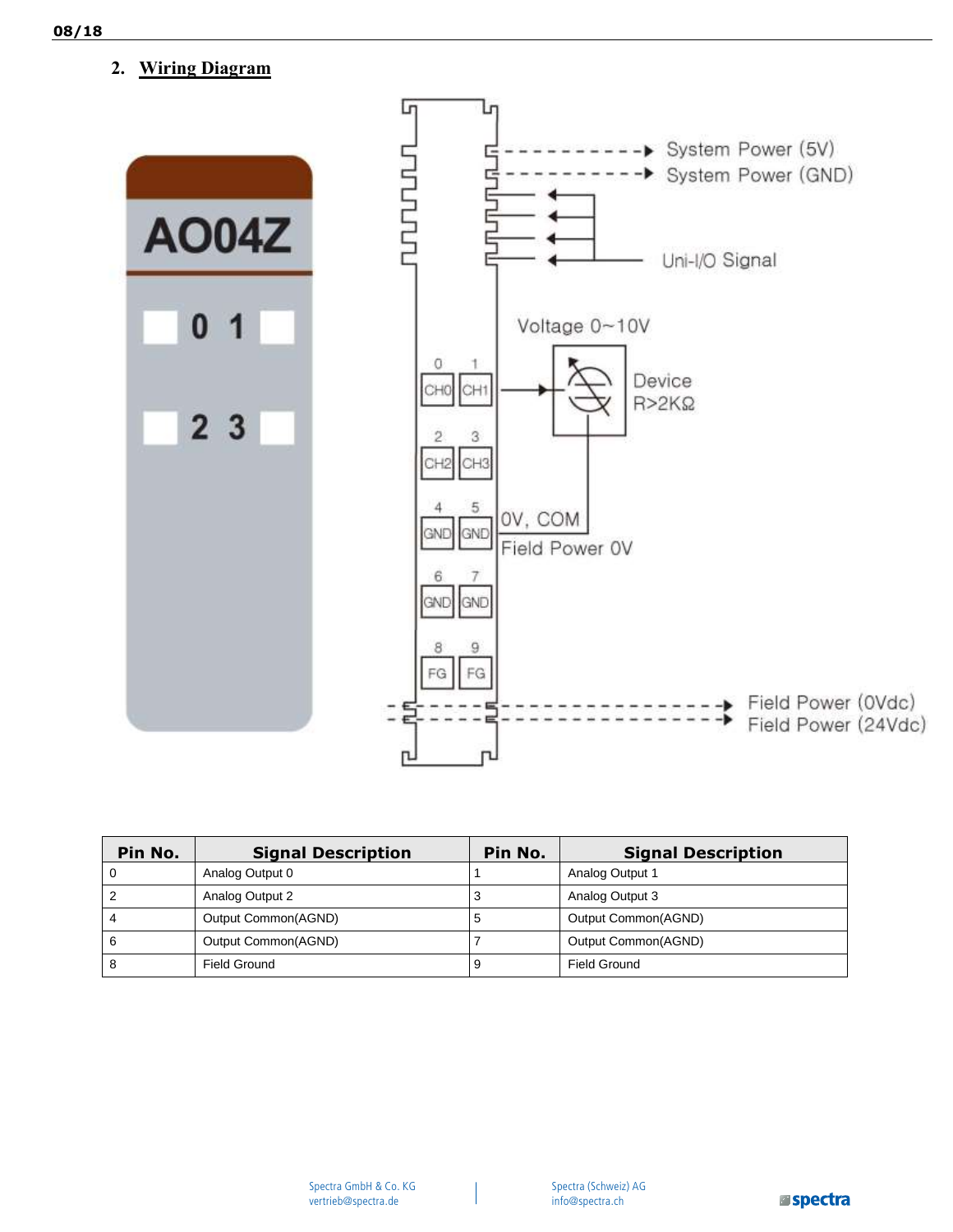**2. Wiring Diagram** 



| Pin No. | <b>Signal Description</b> | Pin No. | <b>Signal Description</b> |
|---------|---------------------------|---------|---------------------------|
| 0       | Analog Output 0           |         | Analog Output 1           |
|         | Analog Output 2           | З       | Analog Output 3           |
| 4       | Output Common(AGND)       | C       | Output Common(AGND)       |
| 6       | Output Common(AGND)       |         | Output Common(AGND)       |
| 8       | Field Ground              |         | Field Ground              |